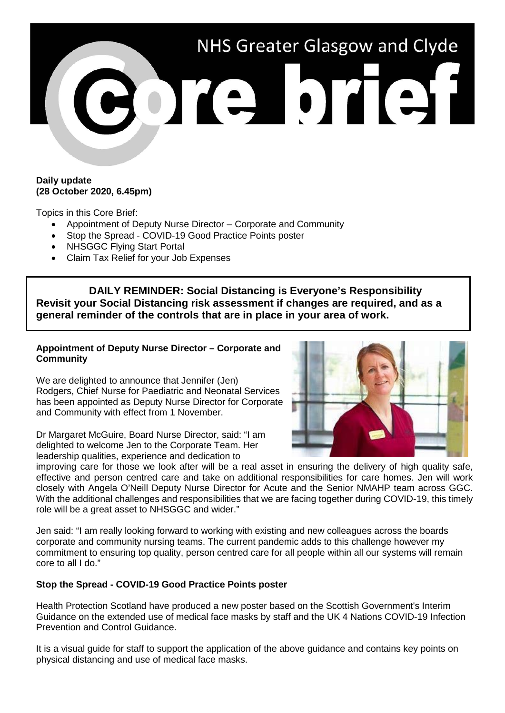

#### **Daily update (28 October 2020, 6.45pm)**

Topics in this Core Brief:

- Appointment of Deputy Nurse Director Corporate and Community
- Stop the Spread COVID-19 Good Practice Points poster
- NHSGGC Flying Start Portal
- Claim Tax Relief for your Job Expenses

**DAILY REMINDER: Social Distancing is Everyone's Responsibility Revisit your Social Distancing risk assessment if changes are required, and as a general reminder of the controls that are in place in your area of work.**

# **Appointment of Deputy Nurse Director – Corporate and Community**

We are delighted to announce that Jennifer (Jen) Rodgers, Chief Nurse for Paediatric and Neonatal Services has been appointed as Deputy Nurse Director for Corporate and Community with effect from 1 November.

Dr Margaret McGuire, Board Nurse Director, said: "I am delighted to welcome Jen to the Corporate Team. Her leadership qualities, experience and dedication to



improving care for those we look after will be a real asset in ensuring the delivery of high quality safe, effective and person centred care and take on additional responsibilities for care homes. Jen will work closely with Angela O'Neill Deputy Nurse Director for Acute and the Senior NMAHP team across GGC. With the additional challenges and responsibilities that we are facing together during COVID-19, this timely role will be a great asset to NHSGGC and wider."

Jen said: "I am really looking forward to working with existing and new colleagues across the boards corporate and community nursing teams. The current pandemic adds to this challenge however my commitment to ensuring top quality, person centred care for all people within all our systems will remain core to all I do."

## **Stop the Spread - COVID-19 Good Practice Points poster**

Health Protection Scotland have produced a new poster based on the Scottish Government's Interim Guidance on the extended use of medical face masks by staff and the UK 4 Nations COVID-19 Infection Prevention and Control Guidance.

It is a visual guide for staff to support the application of the above guidance and contains key points on physical distancing and use of medical face masks.